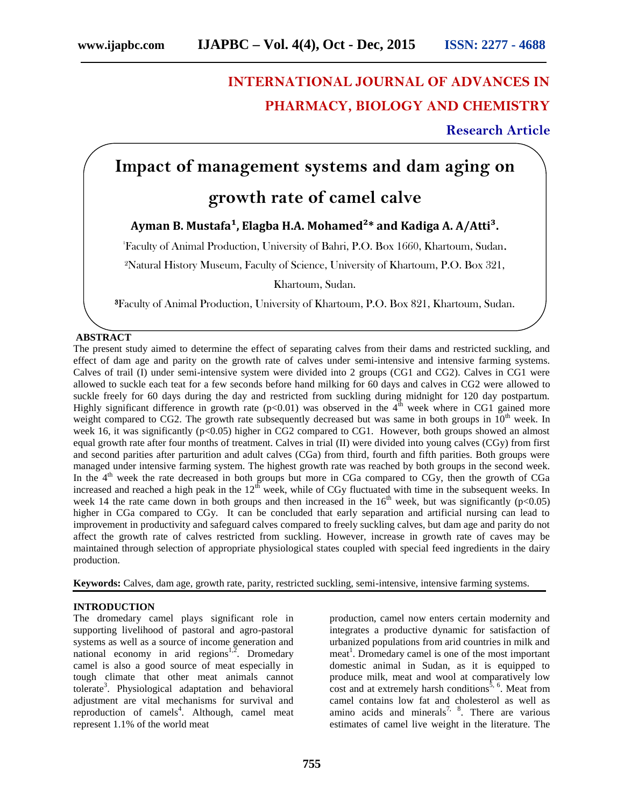# **INTERNATIONAL JOURNAL OF ADVANCES IN PHARMACY, BIOLOGY AND CHEMISTRY**

## **Research Article**

# **Impact of management systems and dam aging on**

## **growth rate of camel calve**

### Ayman B. Mustafa<sup>1</sup>, Elagba H.A. Mohamed<sup>2\*</sup> and Kadiga A. A/Atti<sup>3</sup>.

<sup>1</sup>Faculty of Animal Production, University of Bahri, P.O. Box 1660, Khartoum, Sudan**.**

²Natural History Museum, Faculty of Science, University of Khartoum, P.O. Box 321,

Khartoum, Sudan.

**³**Faculty of Animal Production, University of Khartoum, P.O. Box 821, Khartoum, Sudan.

#### **ABSTRACT**

The present study aimed to determine the effect of separating calves from their dams and restricted suckling, and effect of dam age and parity on the growth rate of calves under semi-intensive and intensive farming systems. Calves of trail (I) under semi-intensive system were divided into 2 groups (CG1 and CG2). Calves in CG1 were allowed to suckle each teat for a few seconds before hand milking for 60 days and calves in CG2 were allowed to suckle freely for 60 days during the day and restricted from suckling during midnight for 120 day postpartum. Highly significant difference in growth rate ( $p<0.01$ ) was observed in the 4<sup>th</sup> week where in CG1 gained more weight compared to CG2. The growth rate subsequently decreased but was same in both groups in  $10<sup>th</sup>$  week. In week 16, it was significantly (p<0.05) higher in CG2 compared to CG1. However, both groups showed an almost equal growth rate after four months of treatment. Calves in trial (II) were divided into young calves (CGy) from first and second parities after parturition and adult calves (CGa) from third, fourth and fifth parities. Both groups were managed under intensive farming system. The highest growth rate was reached by both groups in the second week. In the  $4<sup>th</sup>$  week the rate decreased in both groups but more in CGa compared to CGy, then the growth of CGa increased and reached a high peak in the  $12^{t}$  week, while of CGy fluctuated with time in the subsequent weeks. In week 14 the rate came down in both groups and then increased in the  $16<sup>th</sup>$  week, but was significantly (p<0.05) higher in CGa compared to CGy. It can be concluded that early separation and artificial nursing can lead to improvement in productivity and safeguard calves compared to freely suckling calves, but dam age and parity do not affect the growth rate of calves restricted from suckling. However, increase in growth rate of caves may be maintained through selection of appropriate physiological states coupled with special feed ingredients in the dairy production.

**Keywords:** Calves, dam age, growth rate, parity, restricted suckling, semi-intensive, intensive farming systems.

#### **INTRODUCTION**

The dromedary camel plays significant role in supporting livelihood of pastoral and agro-pastoral systems as well as a source of income generation and national economy in arid regions $1,2$ . Dromedary camel is also a good source of meat especially in tough climate that other meat animals cannot tolerate<sup>3</sup>. Physiological adaptation and behavioral adjustment are vital mechanisms for survival and reproduction of camels<sup>4</sup>. Although, camel meat represent 1.1% of the world meat

production, camel now enters certain modernity and integrates a productive dynamic for satisfaction of urbanized populations from arid countries in milk and meat<sup>1</sup>. Dromedary camel is one of the most important domestic animal in Sudan, as it is equipped to produce milk, meat and wool at comparatively low cost and at extremely harsh conditions<sup>5, 6</sup>. Meat from camel contains low fat and cholesterol as well as amino acids and minerals<sup>7,  $\delta$ </sup>. There are various estimates of camel live weight in the literature. The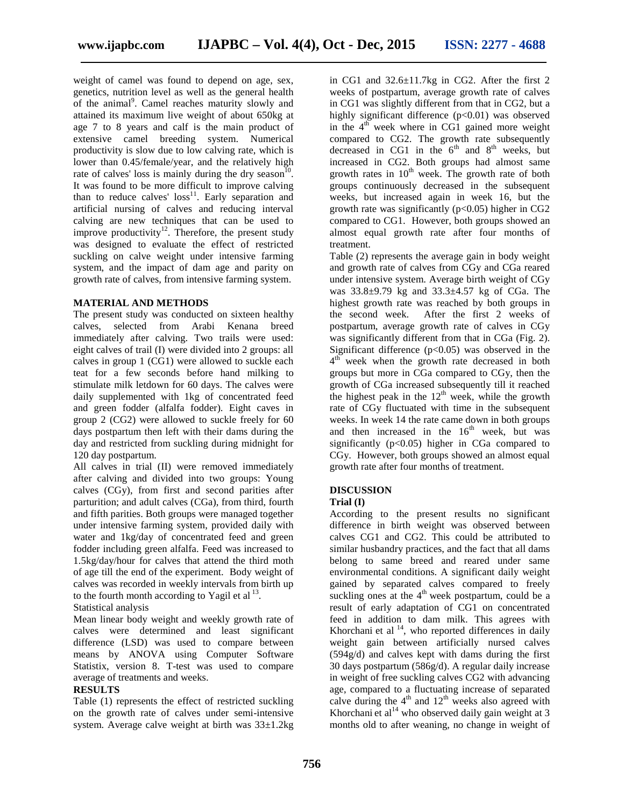weight of camel was found to depend on age, sex, genetics, nutrition level as well as the general health of the animal<sup>9</sup>. Camel reaches maturity slowly and attained its maximum live weight of about 650kg at age 7 to 8 years and calf is the main product of extensive camel breeding system. Numerical productivity is slow due to low calving rate, which is lower than 0.45/female/year, and the relatively high rate of calves' loss is mainly during the dry season<sup>10</sup>. It was found to be more difficult to improve calving than to reduce calves' loss<sup>11</sup>. Early separation and artificial nursing of calves and reducing interval calving are new techniques that can be used to improve productivity<sup>12</sup>. Therefore, the present study was designed to evaluate the effect of restricted suckling on calve weight under intensive farming system, and the impact of dam age and parity on growth rate of calves, from intensive farming system.

#### **MATERIAL AND METHODS**

The present study was conducted on sixteen healthy the second week. calves, selected from Arabi Kenana breed immediately after calving. Two trails were used: eight calves of trail (I) were divided into 2 groups: all calves in group 1 (CG1) were allowed to suckle each teat for a few seconds before hand milking to stimulate milk letdown for 60 days. The calves were daily supplemented with 1kg of concentrated feed and green fodder (alfalfa fodder). Eight caves in group 2 (CG2) were allowed to suckle freely for 60 days postpartum then left with their dams during the day and restricted from suckling during midnight for 120 day postpartum.

All calves in trial (II) were removed immediately after calving and divided into two groups: Young calves (CGy), from first and second parities after parturition; and adult calves (CGa), from third, fourth and fifth parities. Both groups were managed together under intensive farming system, provided daily with water and 1kg/day of concentrated feed and green fodder including green alfalfa. Feed was increased to 1.5kg/day/hour for calves that attend the third moth of age till the end of the experiment. Body weight of calves was recorded in weekly intervals from birth up to the fourth month according to Yagil et al  $^{13}$ .

Statistical analysis

Mean linear body weight and weekly growth rate of calves were determined and least significant difference (LSD) was used to compare between means by ANOVA using Computer Software Statistix, version 8. T-test was used to compare average of treatments and weeks.

#### **RESULTS**

Table (1) represents the effect of restricted suckling on the growth rate of calves under semi-intensive system. Average calve weight at birth was 33±1.2kg

in CG1 and 32.6±11.7kg in CG2. After the first 2 weeks of postpartum, average growth rate of calves in CG1 was slightly different from that in CG2, but a highly significant difference  $(p<0.01)$  was observed in the  $4<sup>th</sup>$  week where in CG1 gained more weight compared to CG2. The growth rate subsequently decreased in CG1 in the  $6<sup>th</sup>$  and  $8<sup>th</sup>$  weeks, but increased in CG2. Both groups had almost same growth rates in  $10<sup>th</sup>$  week. The growth rate of both groups continuously decreased in the subsequent weeks, but increased again in week 16, but the growth rate was significantly  $(p<0.05)$  higher in CG2 compared to CG1. However, both groups showed an almost equal growth rate after four months of treatment.

Table (2) represents the average gain in body weight and growth rate of calves from CGy and CGa reared under intensive system. Average birth weight of CGy was 33.8±9.79 kg and 33.3±4.57 kg of CGa. The highest growth rate was reached by both groups in After the first 2 weeks of postpartum, average growth rate of calves in CGy was significantly different from that in CGa (Fig. 2). Significant difference  $(p<0.05)$  was observed in the  $4<sup>th</sup>$  week when the growth rate decreased in both groups but more in CGa compared to CGy, then the growth of CGa increased subsequently till it reached the highest peak in the  $12<sup>th</sup>$  week, while the growth rate of CGy fluctuated with time in the subsequent weeks. In week 14 the rate came down in both groups and then increased in the  $16<sup>th</sup>$  week, but was significantly  $(p<0.05)$  higher in CGa compared to CGy. However, both groups showed an almost equal growth rate after four months of treatment.

#### **DISCUSSION**

#### **Trial (I)**

According to the present results no significant difference in birth weight was observed between calves CG1 and CG2. This could be attributed to similar husbandry practices, and the fact that all dams belong to same breed and reared under same environmental conditions. A significant daily weight gained by separated calves compared to freely suckling ones at the  $4<sup>th</sup>$  week postpartum, could be a result of early adaptation of CG1 on concentrated feed in addition to dam milk. This agrees with Khorchani et al  $14$ , who reported differences in daily weight gain between artificially nursed calves (594g/d) and calves kept with dams during the first 30 days postpartum (586g/d). A regular daily increase in weight of free suckling calves CG2 with advancing age, compared to a fluctuating increase of separated calve during the  $4<sup>th</sup>$  and  $12<sup>th</sup>$  weeks also agreed with Khorchani et al<sup>14</sup> who observed daily gain weight at 3 months old to after weaning, no change in weight of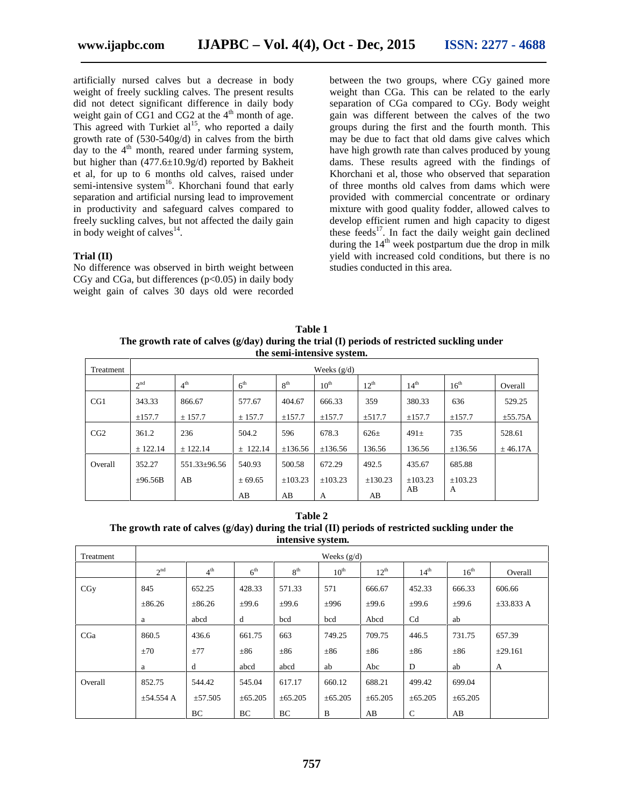artificially nursed calves but a decrease in body weight of freely suckling calves. The present results did not detect significant difference in daily body weight gain of  $CG1$  and  $CG2$  at the 4<sup>th</sup> month of age. This agreed with Turkiet  $al^{15}$ , who reported a daily growth rate of (530-540g/d) in calves from the birth day to the  $4<sup>th</sup>$  month, reared under farming system, but higher than (477.6±10.9g/d) reported by Bakheit et al, for up to 6 months old calves, raised under semi-intensive system<sup>16</sup>. Khorchani found that early separation and artificial nursing lead to improvement in productivity and safeguard calves compared to freely suckling calves, but not affected the daily gain in body weight of calves $^{14}$ .

#### **Trial (II)**

No difference was observed in birth weight between CGy and CGa, but differences  $(p<0.05)$  in daily body weight gain of calves 30 days old were recorded

between the two groups, where CGy gained more weight than CGa. This can be related to the early separation of CGa compared to CGy. Body weight gain was different between the calves of the two groups during the first and the fourth month. This may be due to fact that old dams give calves which have high growth rate than calves produced by young dams. These results agreed with the findings of Khorchani et al, those who observed that separation of three months old calves from dams which were provided with commercial concentrate or ordinary mixture with good quality fodder, allowed calves to develop efficient rumen and high capacity to digest these feeds $17$ . In fact the daily weight gain declined during the  $14<sup>th</sup>$  week postpartum due the drop in milk yield with increased cold conditions, but there is no studies conducted in this area.

**Table 1 The growth rate of calves (g/day) during the trial (I) periods of restricted suckling under the semi-intensive system.**

| Treatment | Weeks $(g/d)$   |                 |                 |                 |                  |           |                  |                  |              |  |
|-----------|-----------------|-----------------|-----------------|-----------------|------------------|-----------|------------------|------------------|--------------|--|
|           | 2 <sup>nd</sup> | 4 <sup>th</sup> | 6 <sup>th</sup> | 8 <sup>th</sup> | $10^{\text{th}}$ | $12^{th}$ | 14 <sup>th</sup> | $16^{\text{th}}$ | Overall      |  |
| CG1       | 343.33          | 866.67          | 577.67          | 404.67          | 666.33           | 359       | 380.33           | 636              | 529.25       |  |
|           | ±157.7          | ± 157.7         | ± 157.7         | ±157.7          | ±157.7           | ±517.7    | ±157.7           | ±157.7           | $\pm$ 55.75A |  |
| CG2       | 361.2           | 236             | 504.2           | 596             | 678.3            | $626+$    | $491\pm$         | 735              | 528.61       |  |
|           | ± 122.14        | ± 122.14        | $\pm$ 122.14    | ±136.56         | ±136.56          | 136.56    | 136.56           | ±136.56          | ± 46.17A     |  |
| Overall   | 352.27          | 551.33±96.56    | 540.93          | 500.58          | 672.29           | 492.5     | 435.67           | 685.88           |              |  |
|           | $\pm 96.56B$    | AB              | ± 69.65         | ±103.23         | ±103.23          | ±130.23   | ±103.23          | ±103.23          |              |  |
|           |                 |                 | AB              | AB              | A                | AB        | AВ               | A                |              |  |

**Table 2 The growth rate of calves (g/day) during the trial (II) periods of restricted suckling under the intensive system.**

| Treatment | Weeks $(g/d)$   |                 |                 |                 |                  |              |                  |                  |                |  |
|-----------|-----------------|-----------------|-----------------|-----------------|------------------|--------------|------------------|------------------|----------------|--|
|           | 2 <sup>nd</sup> | 4 <sup>th</sup> | 6 <sup>th</sup> | 8 <sup>th</sup> | $10^{\text{th}}$ | $12^{th}$    | 14 <sup>th</sup> | $16^{\text{th}}$ | Overall        |  |
| CGy       | 845             | 652.25          | 428.33          | 571.33          | 571              | 666.67       | 452.33           | 666.33           | 606.66         |  |
|           | ±86.26          | $\pm 86.26$     | ±99.6           | ±99.6           | ±996             | ±99.6        | $\pm 99.6$       | $\pm 99.6$       | $\pm 33.833 A$ |  |
|           | a               | abcd            | d               | bcd             | bcd              | Abcd         | Cd               | ab               |                |  |
| CGa       | 860.5           | 436.6           | 661.75          | 663             | 749.25           | 709.75       | 446.5            | 731.75           | 657.39         |  |
|           | ±70             | ±77             | $\pm 86$        | $\pm 86$        | $\pm 86$         | $\pm 86$     | $\pm 86$         | $\pm 86$         | ±29.161        |  |
|           | a               | d               | abcd            | abcd            | ab               | Abc          | D                | ab               | А              |  |
| Overall   | 852.75          | 544.42          | 545.04          | 617.17          | 660.12           | 688.21       | 499.42           | 699.04           |                |  |
|           | $\pm$ 54.554 A  | ±57.505         | $\pm 65.205$    | $\pm 65.205$    | $\pm 65.205$     | $\pm 65.205$ | $\pm 65.205$     | $\pm 65.205$     |                |  |
|           |                 | BC              | BC              | BC              | B                | AB           | $\mathsf{C}$     | AB               |                |  |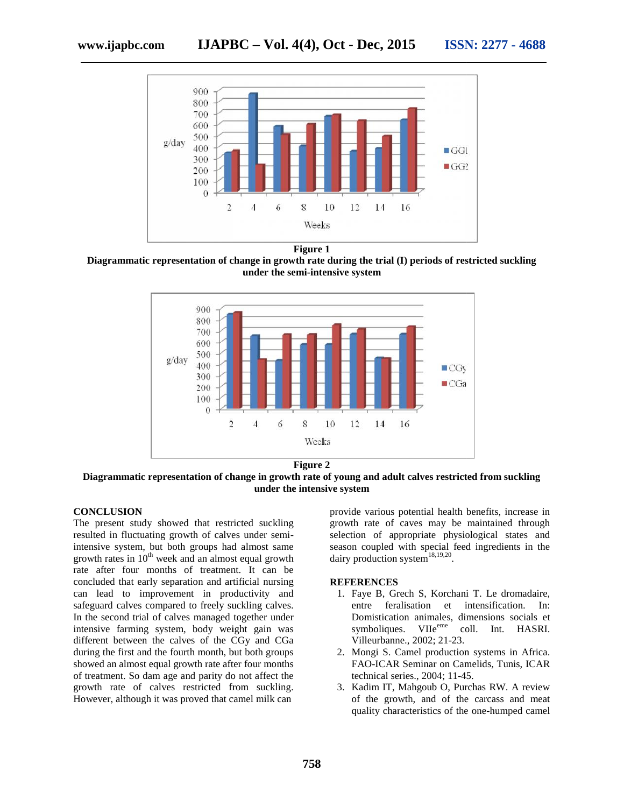

**Figure 1**

**Diagrammatic representation of change in growth rate during the trial (I) periods of restricted suckling under the semi-intensive system**



**Figure 2**

**Diagrammatic representation of change in growth rate of young and adult calves restricted from suckling under the intensive system**

#### **CONCLUSION**

The present study showed that restricted suckling resulted in fluctuating growth of calves under semiintensive system, but both groups had almost same growth rates in  $10<sup>th</sup>$  week and an almost equal growth rate after four months of treatment. It can be concluded that early separation and artificial nursing can lead to improvement in productivity and safeguard calves compared to freely suckling calves. In the second trial of calves managed together under intensive farming system, body weight gain was intensive farming system, body weight gain was<br>different between the calves of the CGy and CGa during the first and the fourth month, but both groups showed an almost equal growth rate after four months of treatment. So dam age and parity do not affect the during the first and the fourth month, but both groups<br>showed an almost equal growth rate after four months<br>of treatment. So dam age and parity do not affect the<br>growth rate of calves restricted from suckling. However, although it was proved that camel milk can The present study showed that restricted suckling<br>resulted in fluctuating growth of calves under semi-<br>intensive system, but both groups had almost same<br>growth rates in  $10^{\text{th}}$  week and an almost equal growth<br>rate afte

provide various potential health benefits, increase in growth rate of caves may be maintained through selection of appropriate physiological states and season coupled with special feed ingredients in the dairy production system<sup>18,19,20</sup>. al health benefits, increase in<br>may be maintained through<br>te physiological states and<br>ecial feed ingredients in the<br> $\frac{18,19,20}{18,19,20}$ .<br>Korchani T. Le dromadaire,<br>a terminalise differential socials et<br> $\frac{16,800}{18}$ under the intensive system<br>
provide various potential health benefits, incre<br>
suckling<br>
growth rate of caves may be maintained the<br>
der semi-<br>
selection of appropriate physiological states<br>
season coupled with special feed

#### **REFERENCES**

- 1. Faye B, Grech S, Korchani T. Le dromadaire, entre feralisation et intensification. In: Domistication animales, dimensions socials et symboliques. VIIe<sup>eme</sup> coll. Int. HASRI. Villeurbanne., 2002; 21-23.
- 2. Mongi S. Camel production systems in Africa. FAO-ICAR Seminar on Camelids, Tunis, ICAR technical series., 2004; 11-45. Mongi S. Camel production systems in *F*AO-ICAR Seminar on Camelids, Tunis, technical series., 2004; 11-45.
- 3. Kadim IT, Mahgoub O, Purchas RW. A review of the growth, and of the carcass and meat quality characteristics of the one-humped camel